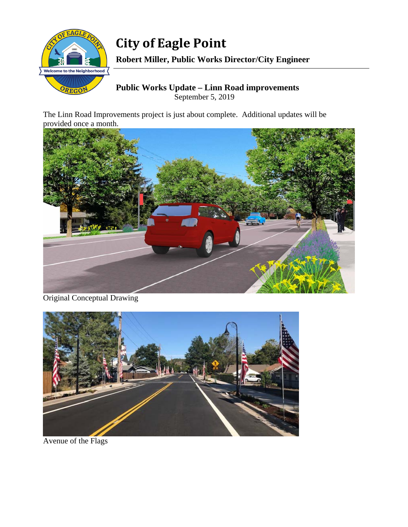

**City of Eagle Point**

**Robert Miller, Public Works Director/City Engineer** 

**Public Works Update – Linn Road improvements** September 5, 2019

The Linn Road Improvements project is just about complete. Additional updates will be provided once a month.



Original Conceptual Drawing



Avenue of the Flags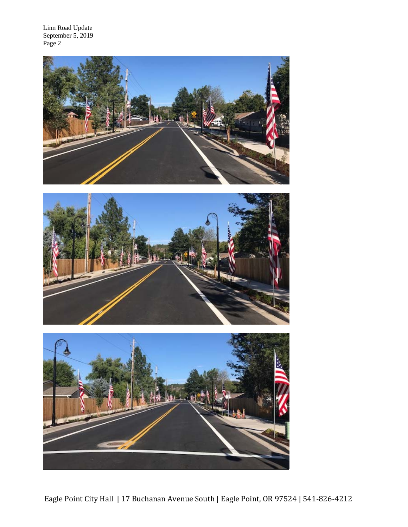



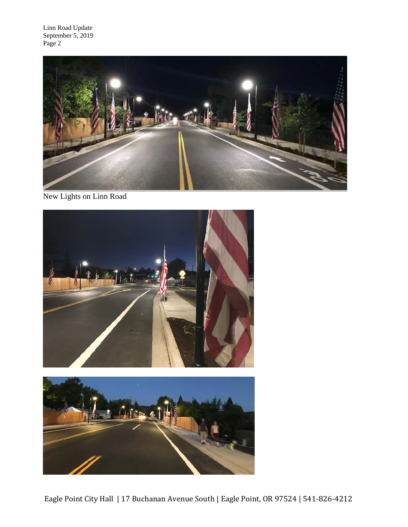

New Lights on Linn Road



Eagle Point City Hall | 17 Buchanan Avenue South | Eagle Point, OR 97524 | 541-826-4212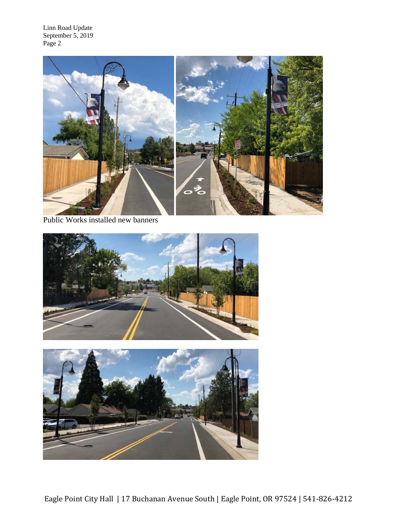

Public Works installed new banners